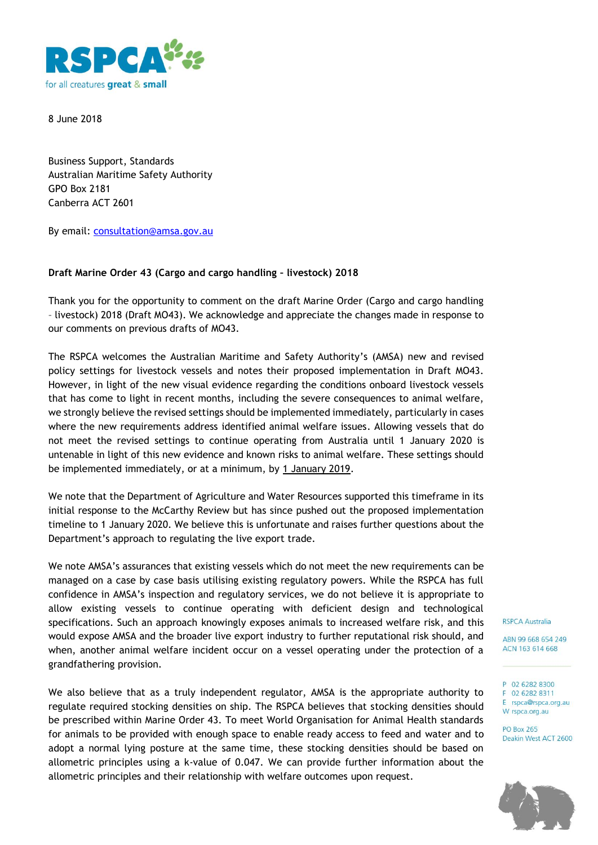

8 June 2018

Business Support, Standards Australian Maritime Safety Authority GPO Box 2181 Canberra ACT 2601

By email: [consultation@amsa.gov.au](mailto:consultation@amsa.gov.au)

## **Draft Marine Order 43 (Cargo and cargo handling – livestock) 2018**

Thank you for the opportunity to comment on the draft Marine Order (Cargo and cargo handling – livestock) 2018 (Draft MO43). We acknowledge and appreciate the changes made in response to our comments on previous drafts of MO43.

The RSPCA welcomes the Australian Maritime and Safety Authority's (AMSA) new and revised policy settings for livestock vessels and notes their proposed implementation in Draft MO43. However, in light of the new visual evidence regarding the conditions onboard livestock vessels that has come to light in recent months, including the severe consequences to animal welfare, we strongly believe the revised settings should be implemented immediately, particularly in cases where the new requirements address identified animal welfare issues. Allowing vessels that do not meet the revised settings to continue operating from Australia until 1 January 2020 is untenable in light of this new evidence and known risks to animal welfare. These settings should be implemented immediately, or at a minimum, by 1 January 2019.

We note that the Department of Agriculture and Water Resources supported this timeframe in its initial response to the McCarthy Review but has since pushed out the proposed implementation timeline to 1 January 2020. We believe this is unfortunate and raises further questions about the Department's approach to regulating the live export trade.

We note AMSA's assurances that existing vessels which do not meet the new requirements can be managed on a case by case basis utilising existing regulatory powers. While the RSPCA has full confidence in AMSA's inspection and regulatory services, we do not believe it is appropriate to allow existing vessels to continue operating with deficient design and technological specifications. Such an approach knowingly exposes animals to increased welfare risk, and this would expose AMSA and the broader live export industry to further reputational risk should, and when, another animal welfare incident occur on a vessel operating under the protection of a grandfathering provision.

We also believe that as a truly independent regulator, AMSA is the appropriate authority to regulate required stocking densities on ship. The RSPCA believes that stocking densities should be prescribed within Marine Order 43. To meet World Organisation for Animal Health standards for animals to be provided with enough space to enable ready access to feed and water and to adopt a normal lying posture at the same time, these stocking densities should be based on allometric principles using a k-value of 0.047. We can provide further information about the allometric principles and their relationship with welfare outcomes upon request.

**RSPCA Australia** 

ABN 99 668 654 249 ACN 163 614 668

- P 02 6282 8300
- F 02 6282 8311 E rspca@rspca.org.au

W rspca.org.au **PO Box 265** 

Deakin West ACT 2600

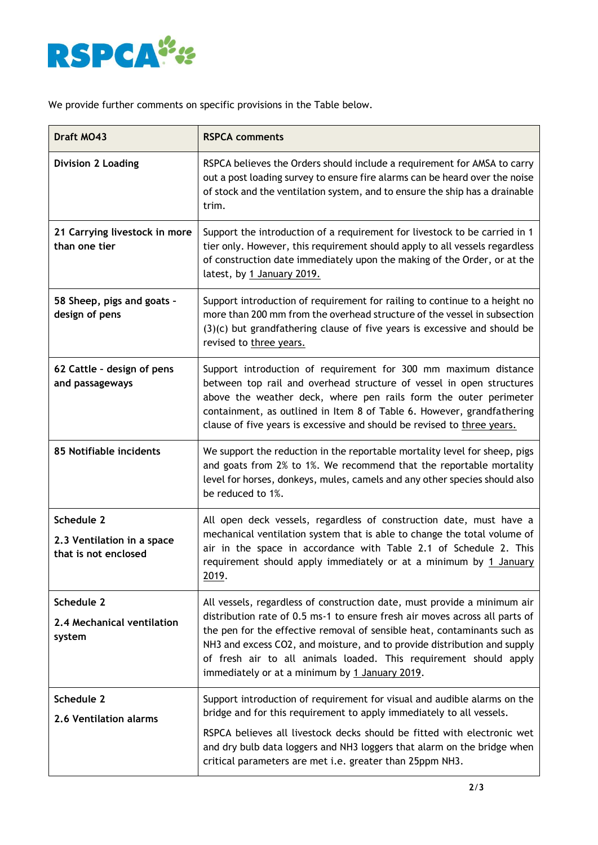

We provide further comments on specific provisions in the Table below.

| Draft MO43                                                       | <b>RSPCA comments</b>                                                                                                                                                                                                                                                                                                                                                                                                                  |
|------------------------------------------------------------------|----------------------------------------------------------------------------------------------------------------------------------------------------------------------------------------------------------------------------------------------------------------------------------------------------------------------------------------------------------------------------------------------------------------------------------------|
| <b>Division 2 Loading</b>                                        | RSPCA believes the Orders should include a requirement for AMSA to carry<br>out a post loading survey to ensure fire alarms can be heard over the noise<br>of stock and the ventilation system, and to ensure the ship has a drainable<br>trim.                                                                                                                                                                                        |
| 21 Carrying livestock in more<br>than one tier                   | Support the introduction of a requirement for livestock to be carried in 1<br>tier only. However, this requirement should apply to all vessels regardless<br>of construction date immediately upon the making of the Order, or at the<br>latest, by 1 January 2019.                                                                                                                                                                    |
| 58 Sheep, pigs and goats -<br>design of pens                     | Support introduction of requirement for railing to continue to a height no<br>more than 200 mm from the overhead structure of the vessel in subsection<br>$(3)(c)$ but grandfathering clause of five years is excessive and should be<br>revised to three years.                                                                                                                                                                       |
| 62 Cattle - design of pens<br>and passageways                    | Support introduction of requirement for 300 mm maximum distance<br>between top rail and overhead structure of vessel in open structures<br>above the weather deck, where pen rails form the outer perimeter<br>containment, as outlined in Item 8 of Table 6. However, grandfathering<br>clause of five years is excessive and should be revised to three years.                                                                       |
| 85 Notifiable incidents                                          | We support the reduction in the reportable mortality level for sheep, pigs<br>and goats from 2% to 1%. We recommend that the reportable mortality<br>level for horses, donkeys, mules, camels and any other species should also<br>be reduced to 1%.                                                                                                                                                                                   |
| Schedule 2<br>2.3 Ventilation in a space<br>that is not enclosed | All open deck vessels, regardless of construction date, must have a<br>mechanical ventilation system that is able to change the total volume of<br>air in the space in accordance with Table 2.1 of Schedule 2. This<br>requirement should apply immediately or at a minimum by 1 January<br>2019.                                                                                                                                     |
| Schedule 2<br>2.4 Mechanical ventilation<br>system               | All vessels, regardless of construction date, must provide a minimum air<br>distribution rate of 0.5 ms-1 to ensure fresh air moves across all parts of<br>the pen for the effective removal of sensible heat, contaminants such as<br>NH3 and excess CO2, and moisture, and to provide distribution and supply<br>of fresh air to all animals loaded. This requirement should apply<br>immediately or at a minimum by 1 January 2019. |
| Schedule 2<br>2.6 Ventilation alarms                             | Support introduction of requirement for visual and audible alarms on the<br>bridge and for this requirement to apply immediately to all vessels.<br>RSPCA believes all livestock decks should be fitted with electronic wet<br>and dry bulb data loggers and NH3 loggers that alarm on the bridge when<br>critical parameters are met i.e. greater than 25ppm NH3.                                                                     |